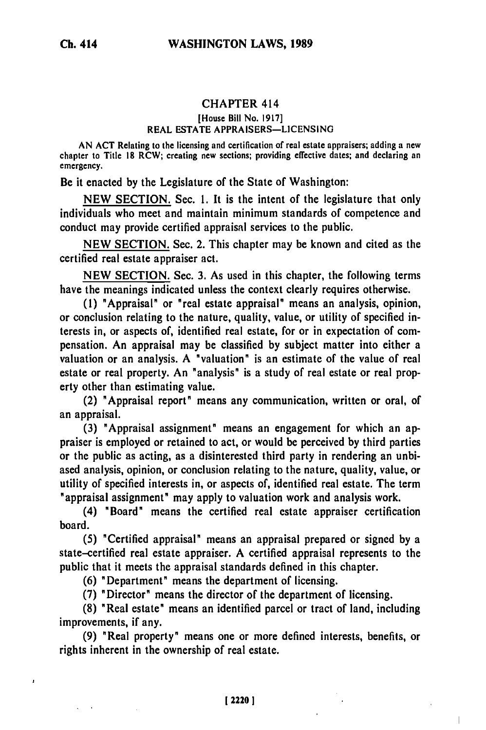# CHAPTER 414

## [House Bill No. 1917] REAL ESTATE APPRAISERS-LICENSING

**AN ACT** Relating to the licensing and certification of real estate appraisers; adding a new chapter to Title **18** RCW; creating new sections; providing effective dates; and declaring an emergency.

Be it enacted **by** the Legislature of the State of Washington:

**NEW SECTION.** Sec. **1.** It is the intent **of** the legislature that only individuals who meet and maintain minimum standards **of** competence and conduct may provide certified appraisal services to the public.

**NEW SECTION.** Sec. 2. This chapter may be known and cited as the certified real estate appraiser act.

**NEW SECTION.** Sec. **3.** As used in this chapter, the following terms have the meanings indicated unless the context clearly requires otherwise.

**(1)** "Appraisal" or "real estate appraisal" means an analysis, opinion, or conclusion relating to the nature, quality, value, or utility of specified interests in, or aspects of, identified real estate, for or in expectation of compensation. An appraisal may be classified **by** subject matter into either a valuation or an analysis. **A** "valuation" is an estimate of the value of real estate or real property. An "analysis" is a study of real estate or real property other than estimating value.

(2) "Appraisal report" means any communication, written or oral, of an appraisal.

**(3)** "Appraisal assignment" means an engagement for which an appraiser is employed or retained to act, or would be perceived **by** third parties or the public as acting, as a disinterested third party in rendering an unbiased analysis, opinion, or conclusion relating to the nature, quality, value, or utility of specified interests in, or aspects of, identified real estate. The term "appraisal assignment" may apply to valuation work and analysis work.

(4) "Board" means the certified real estate appraiser certification board.

**(5)** "Certified appraisal" means an appraisal prepared or signed **by** a state-certified real estate appraiser. **A** certified appraisal represents to the public that it meets the appraisal standards defined in this chapter.

**(6)** "Department" means the department of licensing.

**(7)** "Director" means the director of the department of licensing.

**(8)** "Real estate" means an identified parcel or tract of land, including improvements, if any.

**(9)** "Real property" means one or more defined interests, benefits, or rights inherent in the ownership of real estate.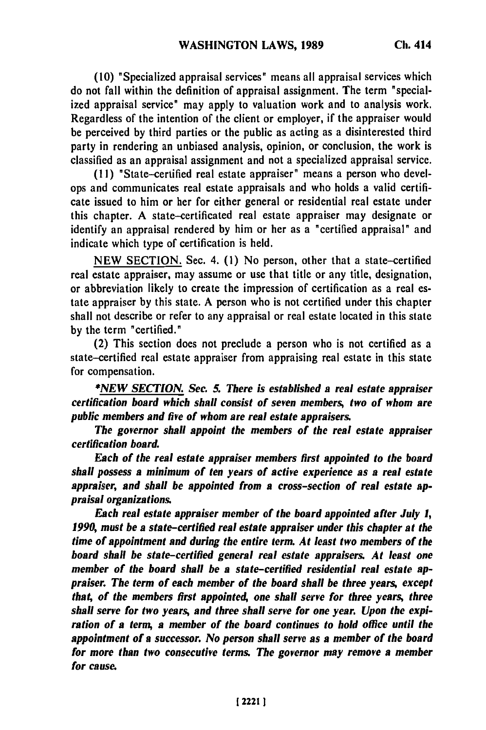**(10)** "Specialized appraisal services" means all appraisal services which do not fall within the definition of appraisal assignment. The term "specialized appraisal service" may apply to valuation work and to analysis work. Regardless of the intention of the client or employer, if the appraiser would be perceived **by** third parties or the public as acting as a disinterested third party in rendering an unbiased analysis, opinion, or conclusion, the work is classified as an appraisal assignment and not a specialized appraisal service.

**(HI)** "State-certified real estate appraiser" means a person who develops and communicates real estate appraisals and who holds a valid certificate issued to him or her for either general or residential real estate under this chapter. **A** state-certificated real estate appraiser may designate or identify an appraisal rendered **by** him or her as a "certified appraisal" and indicate which type of certification is held.

**NEW SECTION.** Sec. 4. **(1)** No person, other that a state-certified real estate appraiser, may assume or use that title or any title, designation, or abbreviation likely to create the impression of certification as a real estate appraiser **by** this state. **A** person who is not certified under this chapter shall not describe or refer to any appraisal or real estate located in this state **by** the term "certified."

(2) This section does not preclude a person who is not certified as a state-certified real estate appraiser from appraising real estate in this state for compensation.

*\*NEW SECTION. Sec. 5. There is established a real estate appraiser certification board which shall consist of seven members, two of whom are public members and five of whom are real estate appraisers.*

*The governor shall appoint the members of the real estate appraiser certification board.*

*Each of the real estate appraiser members first appointed to the board shall possess a minimum of ten years of active experience as a real estate appraiser, and shall be appointed from a cross-section of real estate appraisal organizations.*

*Each real estate appraiser member of the board appointed after July 1, 1990, must be a state-certified real estate appraiser under this chapter at the time of appointment and during the entire term. At least two members of the board shall be state-certified general real estate appraisers. At least one member of the board* **shall** *be a state-certified residential real estate appraiser. The term of each member of the board shall be three years, except that, of the members first appointed, one shall serve for three years, three shall serve for two years, and three shall serve for one year. Upon the expiration of a term, a member of the board continues to hold office until the appointment of a successor. No person shall serve as a member of the board for more than two consecutive terms. The governor may remove a member for cause.*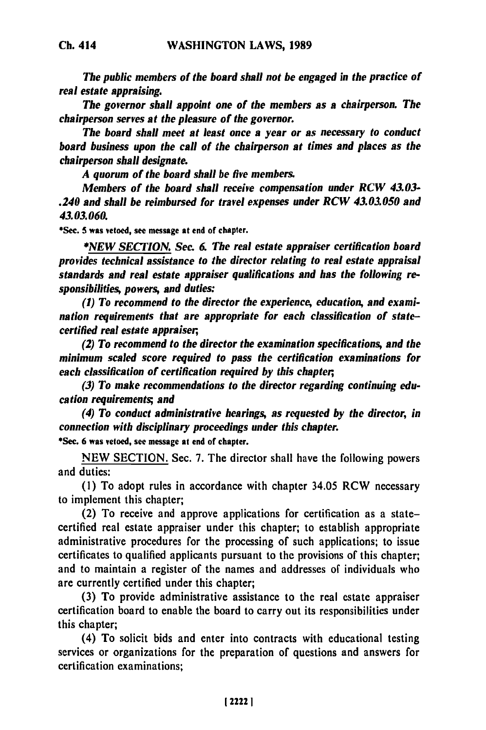*The public members of the board shall not be engaged in the practice of real estate appraising.*

*The governor shall appoint one of the members as a chairperson. The chairperson serves at the pleasure of the governor.*

*The board shall meet at least once a year or as necessary to conduct board business upon the call of the chairperson at times and places as the chairperson shall designate.*

*A quorum of the hoard shall be five members.*

*Members of the board shall receive compensation under RCW 43.03- .240 and shall be reimbursed for travel expenses under RCW 43.03.050 and 43.03.060.*

\*Sec. **5** was vetoed, see message at end of chapter.

*\*NEW SECTION. Sec. & The real estate appraiser certification board provides technical assistance to the director relating to real estate appraisal standards and real estate appraiser qualifications and has the following responsibilities, powers, and duties:*

*(1) To recommend to the director the experience, education, and examination requirements that are appropriate for each classification of statecertified real estate appraiser,*

*(2) To recommend to the director the examination specifications, and the minimum scaled score required to pass the certification examinations for each classification of certification required by this chapter,*

*(3) To make recommendations to the director regarding continuing education requirements; and*

*(4) To conduct administrative hearings, as requested by the director, in connection with disciplinary proceedings under this chapter.*

\*Sec. **6** was vetoed, see message at end of chapter.

**NEW** SECTION. Sec. 7. The director shall have the following powers and duties:

**(1)** To adopt rules in accordance with chapter 34.05 RCW necessary to implement this chapter;

(2) To receive and approve applications for certification as a statecertified real estate appraiser under this chapter; to establish appropriate administrative procedures for the processing of such applications; to issue certificates to qualified applicants pursuant to the provisions of this chapter; and to maintain a register of the names and addresses of individuals who are currently certified under this chapter;

(3) To provide administrative assistance to the real estate appraiser certification board to enable the board to carry out its responsibilities under this chapter;

(4) To solicit bids and enter into contracts with educational testing services or organizations for the preparation of questions and answers for certification examinations;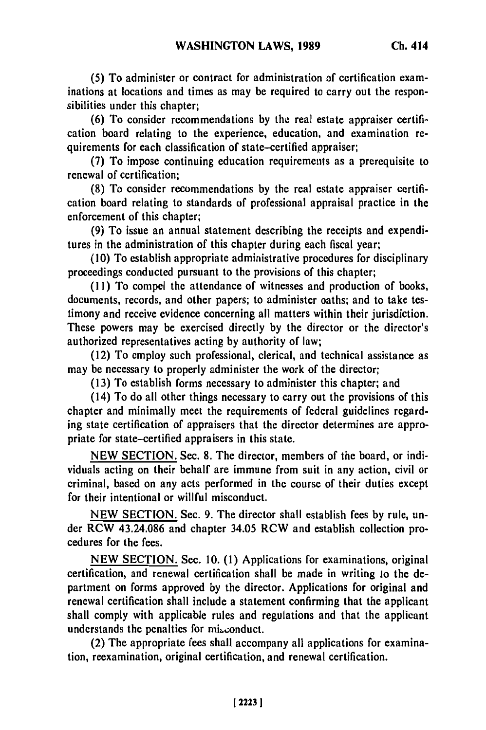**(5) To** administer or contract for administration of certification examinations at locations and times as may be required to carry out the responsibilities under this chapter;

**(6)** To consider recommendations **by** the real estate appraiser certification board relating to the experience, education, and examination requirements for each classification of state-certified appraiser;

**(7)** To impose continuing education requirements as a prerequisite to renewal of certification;

**(8)** To consider recommendations **by** the real estate appraiser certification board relating to standards of professional appraisal practice in the enforcement of this chapter;

**(9)** To issue an annual statement describing the receipts and expenditures in the administration of this chapter during each fiscal year;

**(10)** To establish appropriate administrative procedures for disciplinary proceedings conducted pursuant to the provisions of this chapter;

**(11)** To compel the attendance of witnesses and production of books, documents, records, and other papers; to administer oaths; and to take testimony and receive evidence concerning all matters within their jurisdiction. These powers may be exercised directly **by** the director or the director's authorized representatives acting **by** authority of law;

(12) To employ such professional, clerical, and technical assistance as may be necessary to properly administer the work of the director;

**(13)** To establish forms necessary to administer this chapter; and

(14) To do all other things necessary to carry out the provisions of this chapter and minimally meet the requirements of federal guidelines regarding state certification of appraisers that the director determines are appropriate for state-certified appraisers in this state.

**NEW SECTION.** Sec. **8.** The director, members of the board, or individuals acting on their behalf are immune from suit in any action, civil or criminal, based on any acts performed in the course of their duties except for their intentional or willful misconduct.

**NEW SECTION.** Sec. **9.** The director shall establish fees **by** rule, under RCW 43.24.086 and chapter 34.05 RCW and establish collection procedures for the fees.

**NEW SECTION.** Sec. **10. (1)** Applications for examinations, original certification, and renewal certification shall be made in writing to the department on forms approved **by** the director. Applications for original and renewal certification shall include a statement confirming that the applicant shall comply with applicable rules and regulations and that the applicant understands the penalties for misconduct.

(2) The appropriate fees shall accompany all applications for examination, reexamination, original certification, and renewal certification.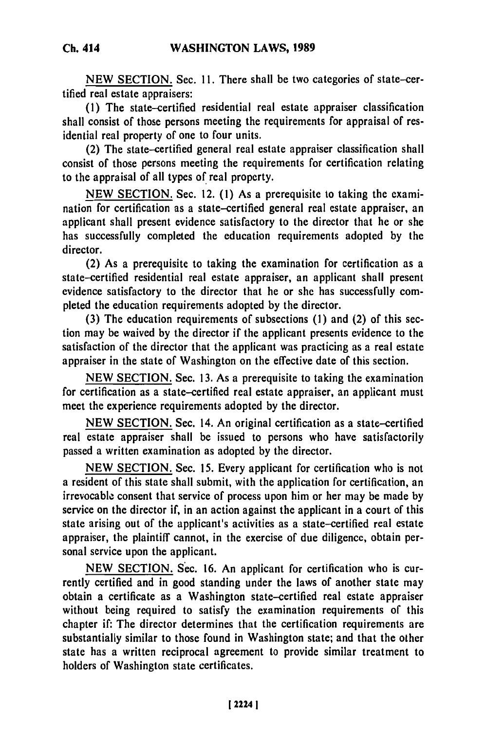**WASHINGTON** LAWS, **1989 Ch. 414**

NEW SECTION. Sec. **11.** There shall be two categories of state-certified real estate appraisers:

**(1)** The state-certified residential real estate appraiser classification shall consist of those persons meeting the requirements for appraisal of residential real property of one to four units.

(2) The state-certified general real estate appraiser classification shall consist of those persons meeting the requirements for certification relating to the appraisal of all types of real property.

**NEW SECTION.** Sec. 12. **(1)** As a prerequisite to taking the examination for certification as a state-certified general real estate appraiser, an applicant shall present evidence satisfactory to the director that he or she has successfully completed the education requirements adopted **by** the director.

(2) As a prerequisite to taking the examination for certification as a state-certified residential real estate appraiser, an applicant shall present evidence satisfactory to the director that he or she has successfully completed the education requirements adopted **by** the director.

**(3)** The education requirements of subsections **(1)** and (2) of this section may be waived **by** the director if the applicant presents evidence to the satisfaction of the director that the applicant was practicing as a real estate appraiser in the state of Washington on the effective date of this section.

**NEW SECTION.** Sec. **13.** As a prerequisite to taking the examination for certification as a state-certified real estate appraiser, an applicant must meet the experience requirements adopted **by** the director.

**NEW** SECTION. Sec. 14. An original certification as a state-certified real estate appraiser shall be issued to persons who have satisfactorily passed a written examination as adopted **by** the director.

**NEW** SECTION. Sec. **15.** Every applicant for certification who is not a resident of this state shall submit, with the application for certification, an irrevocable consent that service of process upon him or her may **be** made **by** service on the director if, in an action against the applicant in a court of this state arising out of the applicant's activities as a state-certified real estate appraiser, the plaintiff cannot, in the exercise of due diligence, obtain personal service upon the applicant.

**NEW SECTION.** Sec. **16.** An applicant for certification who is currently certified and in good standing under the laws of another state may obtain a certificate as a Washington state-certified real estate appraiser without being required to satisfy the examination requirements of this chapter if: The director determines that the certification requirements are substantially similar to those found in Washington state; and that the other state has a written reciprocal agreement to provide similar treatment to holders of Washington state certificates.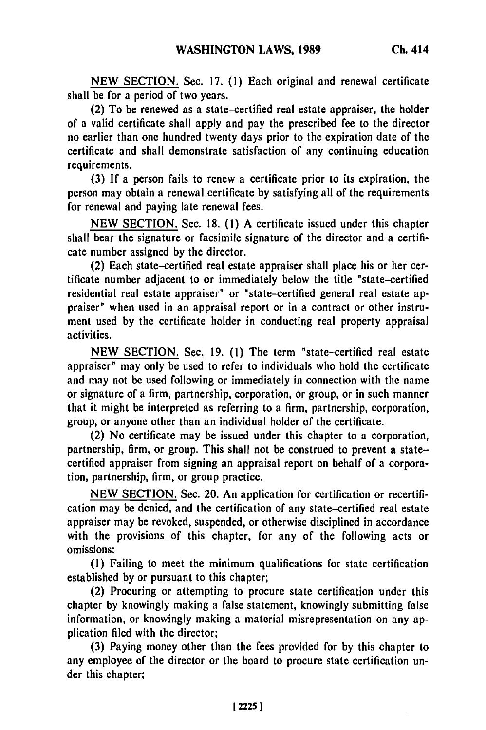**NEW SECTION.** Sec. **17. (1)** Each original and renewal certificate shall be for a period of two years.

(2) To be renewed as a state-certified real estate appraiser, the holder of a valid certificate shall apply and pay the prescribed fee to the director no earlier than one hundred twenty days prior to the expiration date of the certificate and shall demonstrate satisfaction of any continuing education requirements.

**(3) If** a person fails to renew a certificate prior to its expiration, the person may obtain a renewal certificate **by** satisfying all of the requirements for renewal and paying late renewal fees.

**NEW SECTION.** Sec. **18. (1) A** certificate issued under this chapter shall bear the signature or facsimile signature of the director and a certificate number assigned **by** the director.

(2) Each state-certified real estate appraiser shall place his or her certificate number adjacent to or immediately below the title "state-certified residential real estate appraiser" or "state-certified general real estate appraiser" when used in an appraisal report or in a contract or other instrument used **by** the certificate holder in conducting real property appraisal activities.

**NEW SECTION.** Sec. **19. (1)** The term "state-certified real estate appraiser" may only be used to refer to individuals who hold the certificate and may not be used following or immediately in connection with the name or signature of a firm, partnership, corporation, or group, or in such manner that it might be interpreted as referring to a firm, partnership, corporation, group, or anyone other than an individual holder of the certificate.

(2) No certificate may be issued under this chapter to a corporation, partnership, firm, or group. This shall not be construed to prevent a statecertified appraiser from signing an appraisal report on behalf of a corporation, partnership, firm, or group practice.

**NEW SECTION.** Sec. 20. An application for certification or recertification may be denied, and the certification of any state-certified real estate appraiser may be revoked, suspended, or otherwise disciplined in accordance with the provisions of this chapter, for any of the following acts or omissions:

**(1)** Failing to meet the minimum qualifications for state certification established **by** or pursuant to this chapter;

(2) Procuring or attempting to procure state certification under this chapter **by** knowingly making a false statement, knowingly submitting false information, or knowingly making a material misrepresentation on any application filed with the director;

**(3)** Paying money other than the fees provided for **by** this chapter to any employee of the director or the board to procure state certification under this chapter;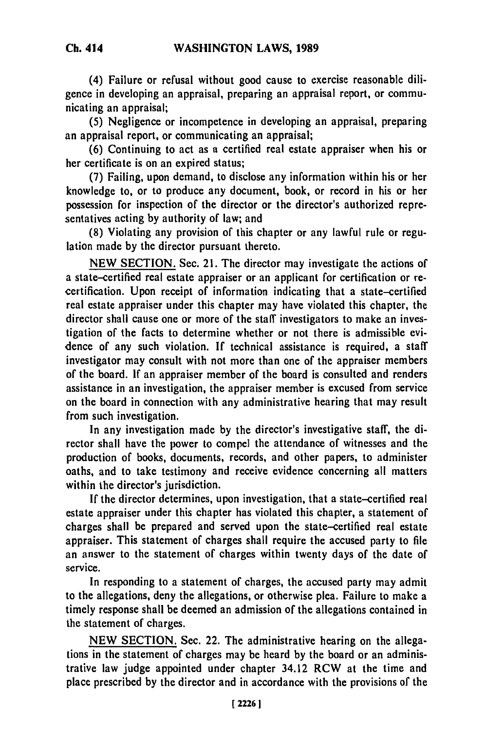(4) Failure or refusal without good cause to exercise reasonable diligence in developing an appraisal, preparing an appraisal report, or communicating an appraisal;

**(5)** Negligence or incompetence in developing an appraisal, preparing an appraisal report, or communicating an appraisal;

**(6)** Continuing to act as a certified real estate appraiser when his or her certificate is on an expired status;

**(7)** Failing, upon demand, to disclose any information within his or her knowledge to, or to produce any document, book, or record in his or her possession for inspection of the director or the director's authorized representatives acting **by** authority of law; and

**(8)** Violating any provision of this chapter or any lawful rule or regulation made **by** the director pursuant thereto.

**NEW SECTION.** Sec. 21. The director may investigate the actions of a state-certified real estate appraiser or an applicant for certification or recertification. Upon receipt of information indicating that a state-certified real estate appraiser under this chapter may have violated this chapter, the director shall cause one or more of the staff investigators to make an investigation of the facts to determine whether or not there is admissible evidence of any such violation. **If** technical assistance is required, a staff investigator may consult with not more than one of the appraiser members of the board. **If** an appraiser member of the board is consulted and renders assistance in an investigation, the appraiser member is excused from service on the board in connection with any administrative hearing that may result from such investigation.

In any investigation made **by** the director's investigative staff, the director shall have the power to compel the attendance of witnesses and the production of books, documents, records, and other papers, to administer oaths, and to take testimony and receive evidence concerning all matters within the director's jurisdiction.

If the director determines, upon investigation, that a state-certified real estate appraiser under this chapter has violated this chapter, a statement of charges shall be prepared and served upon the state-certified real estate appraiser. This statement of charges shall require the accused party to file an answer to the statement of charges within twenty days of the date of service.

In responding to a statement of charges, the accused party may admit to the allegations, deny the allegations, or otherwise plea. Failure to make a timely response shall be deemed an admission of the allegations contained in the statement of charges.

**NEW SECTION.** Sec. 22. The administrative hearing on the allegations in the statement of charges may be heard **by** the board or an administrative law judge appointed under chapter 34.12 RCW at the time and place prescribed **by** the director and in accordance with the provisions of the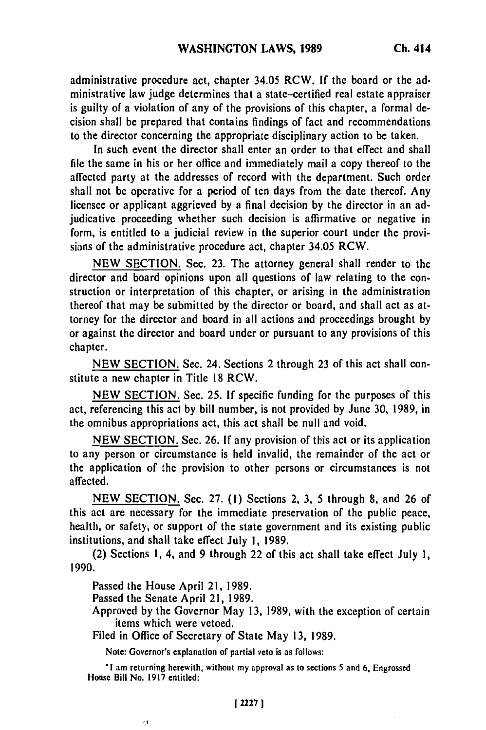administrative procedure act, chapter 34.05 RCW. **If** the board or the administrative law judge determines that a state-certified real estate appraiser is guilty of a violation of any of the provisions of this chapter, a formal decision shall be prepared that contains findings of fact and recommendations to the director concerning the appropriate disciplinary action to be taken.

In such event the director shall enter an order to that effect and shall file the same in his or her office and immediately mail a copy thereof to the affected party at the addresses of record with the department. Such order shall not be operative for a period of ten days from the date thereof. Any licensee or applicant aggrieved **by** a final decision **by** the director in an adjudicative proceeding whether such decision is affirmative or negative in form, is entitled to a judicial review in the superior court under the provisions of the administrative procedure act, chapter 34.05 RCW.

**NEW** SECTION. Sec. **23.** The attorney general shall render to the director and board opinions upon all questions of law relating to the construction or interpretation of this chapter, or arising in the administration thereof that may be submitted **by** the director or board, and shall act as attorney for the director and board in all actions and proceedings brought **by** or against the director and board under or pursuant to any provisions of this chapter.

**NEW SECTION.** Sec. 24. Sections 2 through **23** of this act shall constitute a new chapter in Title **18** RCW.

**NEW SECTION.** Sec. **25. If** specific funding for the purposes of this act, referencing this act **by** bill number, is not provided **by** June **30, 1989,** in the omnibus appropriations act, this act shall be null and void.

**NEW** SECTION. Sec. 26. **If** any provision of this act or its application to any person or circumstance is held invalid, the remainder of the act or the application of the provision to other persons or circumstances is not affected.

NEW SECTION. Sec. 27. (1) Sections 2, 3, 5 through 8, and 26 of this act are necessary for the immediate preservation of the public peace, health, or safety, or support of the state government and its existing public institutions, and shall take effect July 1, 1989.

(2) Sections 1, 4, and 9 through 22 of this act shall take effect July **1,** 1990.

Passed the House April 21, 1989.

Passed the Senate April 21, 1989.

Approved by the Governor May 13, 1989, with the exception of certain items which were vetoed.

Filed in Office of Secretary of State May **13,** 1989.

Note: Governor's explanation of partial veto is as follows:

**'I** am returning herewith, without my approval as to sections 5 and **6,** Engrossed House Bill No. 1917 entitled:

×,